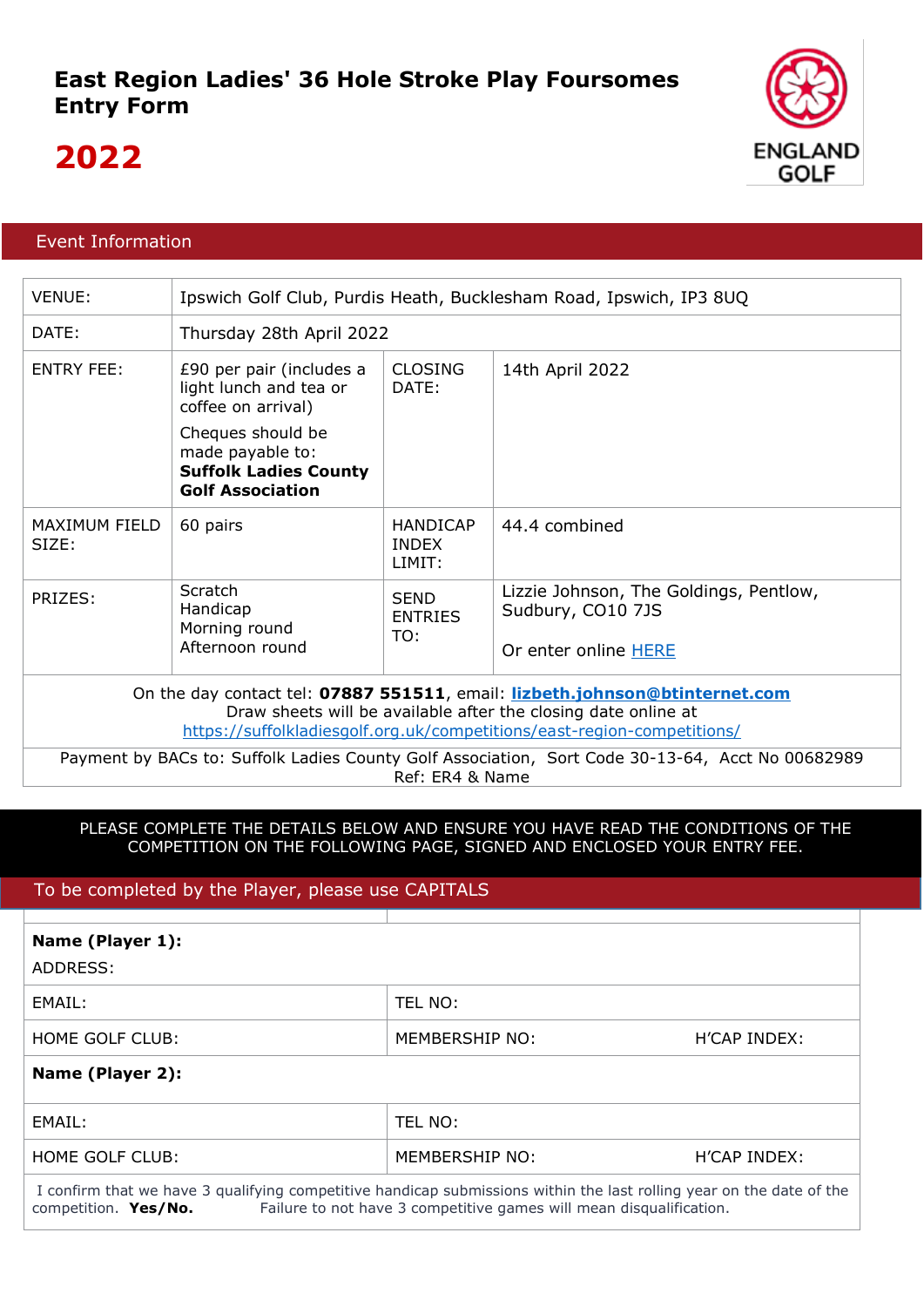

## **2022**

## Event Information

| VENUE:                                                                                                                                                                                                                   | Ipswich Golf Club, Purdis Heath, Bucklesham Road, Ipswich, IP3 8UQ                               |                                           |                                                                                     |  |  |
|--------------------------------------------------------------------------------------------------------------------------------------------------------------------------------------------------------------------------|--------------------------------------------------------------------------------------------------|-------------------------------------------|-------------------------------------------------------------------------------------|--|--|
| DATE:                                                                                                                                                                                                                    | Thursday 28th April 2022                                                                         |                                           |                                                                                     |  |  |
| <b>ENTRY FEE:</b>                                                                                                                                                                                                        | £90 per pair (includes a<br>light lunch and tea or<br>coffee on arrival)                         | <b>CLOSING</b><br>DATE:                   | 14th April 2022                                                                     |  |  |
|                                                                                                                                                                                                                          | Cheques should be<br>made payable to:<br><b>Suffolk Ladies County</b><br><b>Golf Association</b> |                                           |                                                                                     |  |  |
| <b>MAXIMUM FIELD</b><br>SIZE:                                                                                                                                                                                            | 60 pairs                                                                                         | <b>HANDICAP</b><br><b>INDEX</b><br>LIMIT: | 44.4 combined                                                                       |  |  |
| PRIZES:                                                                                                                                                                                                                  | Scratch<br>Handicap<br>Morning round<br>Afternoon round                                          | <b>SEND</b><br><b>ENTRIES</b><br>TO:      | Lizzie Johnson, The Goldings, Pentlow,<br>Sudbury, CO10 7JS<br>Or enter online HERE |  |  |
| On the day contact tel: 07887 551511, email: lizbeth.johnson@btinternet.com<br>Draw sheets will be available after the closing date online at<br>https://suffolkladiesgolf.org.uk/competitions/east-region-competitions/ |                                                                                                  |                                           |                                                                                     |  |  |
| Payment by BACs to: Suffolk Ladies County Golf Association, Sort Code 30-13-64, Acct No 00682989<br>Ref: ER4 & Name                                                                                                      |                                                                                                  |                                           |                                                                                     |  |  |

## PLEASE COMPLETE THE DETAILS BELOW AND ENSURE YOU HAVE READ THE CONDITIONS OF THE COMPETITION ON THE FOLLOWING PAGE, SIGNED AND ENCLOSED YOUR ENTRY FEE.

## To be completed by the Player, please use CAPITALS

| Name (Player 1):<br>ADDRESS:                                                                                                                                                                                               |                |              |  |  |  |
|----------------------------------------------------------------------------------------------------------------------------------------------------------------------------------------------------------------------------|----------------|--------------|--|--|--|
| EMAIL:                                                                                                                                                                                                                     | TEL NO:        |              |  |  |  |
| HOME GOLF CLUB:                                                                                                                                                                                                            | MEMBERSHIP NO: | H'CAP INDEX: |  |  |  |
| Name (Player 2):                                                                                                                                                                                                           |                |              |  |  |  |
| EMAIL:                                                                                                                                                                                                                     | TEL NO:        |              |  |  |  |
| HOME GOLF CLUB:                                                                                                                                                                                                            | MEMBERSHIP NO: | H'CAP INDEX: |  |  |  |
| I confirm that we have 3 qualifying competitive handicap submissions within the last rolling year on the date of the<br>Failure to not have 3 competitive games will mean disqualification.<br>competition. <b>Yes/No.</b> |                |              |  |  |  |